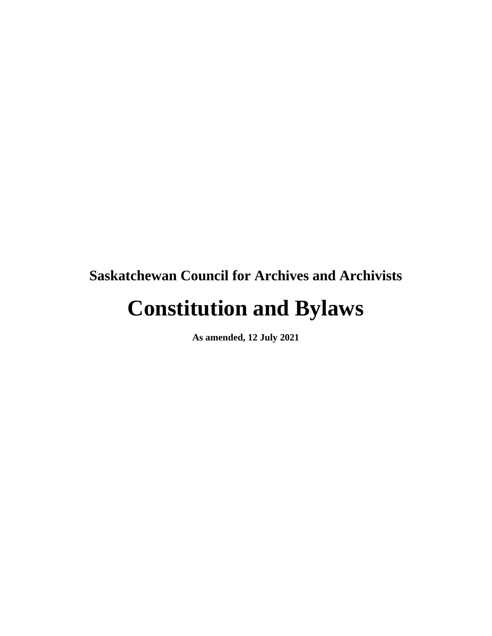## **Saskatchewan Council for Archives and Archivists**

# **Constitution and Bylaws**

**As amended, 12 July 2021**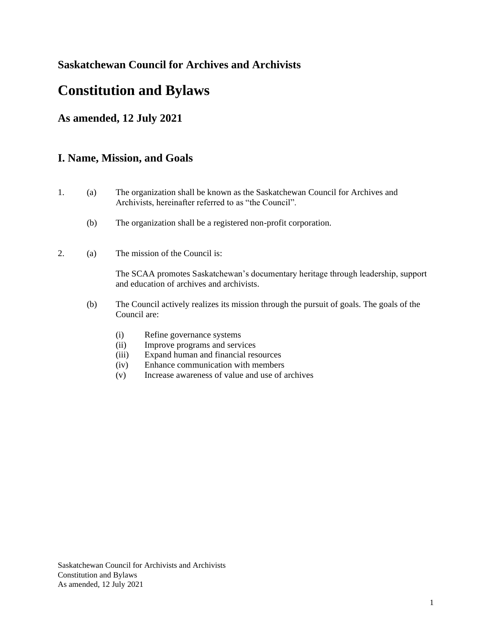#### **Saskatchewan Council for Archives and Archivists**

### **Constitution and Bylaws**

#### **As amended, 12 July 2021**

#### **I. Name, Mission, and Goals**

- 1. (a) The organization shall be known as the Saskatchewan Council for Archives and Archivists, hereinafter referred to as "the Council".
	- (b) The organization shall be a registered non-profit corporation.
- 2. (a) The mission of the Council is:

The SCAA promotes Saskatchewan's documentary heritage through leadership, support and education of archives and archivists.

- (b) The Council actively realizes its mission through the pursuit of goals. The goals of the Council are:
	- (i) Refine governance systems
	- (ii) Improve programs and services
	- (iii) Expand human and financial resources
	- (iv) Enhance communication with members
	- (v) Increase awareness of value and use of archives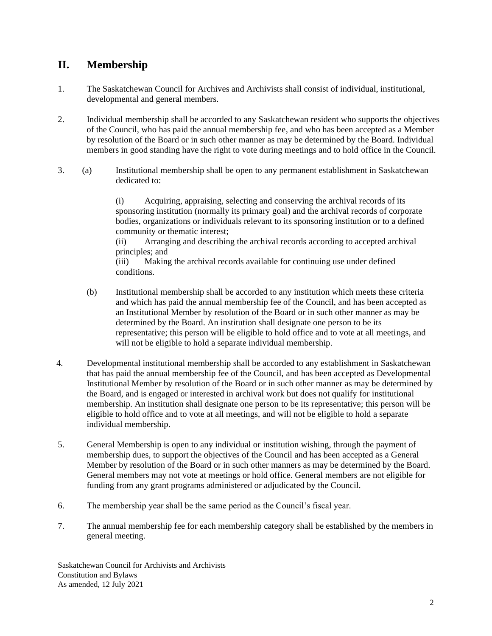#### **II. Membership**

- 1. The Saskatchewan Council for Archives and Archivists shall consist of individual, institutional, developmental and general members.
- 2. Individual membership shall be accorded to any Saskatchewan resident who supports the objectives of the Council, who has paid the annual membership fee, and who has been accepted as a Member by resolution of the Board or in such other manner as may be determined by the Board. Individual members in good standing have the right to vote during meetings and to hold office in the Council.
- 3. (a) Institutional membership shall be open to any permanent establishment in Saskatchewan dedicated to:

(i) Acquiring, appraising, selecting and conserving the archival records of its sponsoring institution (normally its primary goal) and the archival records of corporate bodies, organizations or individuals relevant to its sponsoring institution or to a defined community or thematic interest;

(ii) Arranging and describing the archival records according to accepted archival principles; and

(iii) Making the archival records available for continuing use under defined conditions.

- (b) Institutional membership shall be accorded to any institution which meets these criteria and which has paid the annual membership fee of the Council, and has been accepted as an Institutional Member by resolution of the Board or in such other manner as may be determined by the Board. An institution shall designate one person to be its representative; this person will be eligible to hold office and to vote at all meetings, and will not be eligible to hold a separate individual membership.
- 4. Developmental institutional membership shall be accorded to any establishment in Saskatchewan that has paid the annual membership fee of the Council, and has been accepted as Developmental Institutional Member by resolution of the Board or in such other manner as may be determined by the Board, and is engaged or interested in archival work but does not qualify for institutional membership. An institution shall designate one person to be its representative; this person will be eligible to hold office and to vote at all meetings, and will not be eligible to hold a separate individual membership.
- 5. General Membership is open to any individual or institution wishing, through the payment of membership dues, to support the objectives of the Council and has been accepted as a General Member by resolution of the Board or in such other manners as may be determined by the Board. General members may not vote at meetings or hold office. General members are not eligible for funding from any grant programs administered or adjudicated by the Council.
- 6. The membership year shall be the same period as the Council's fiscal year.
- 7. The annual membership fee for each membership category shall be established by the members in general meeting.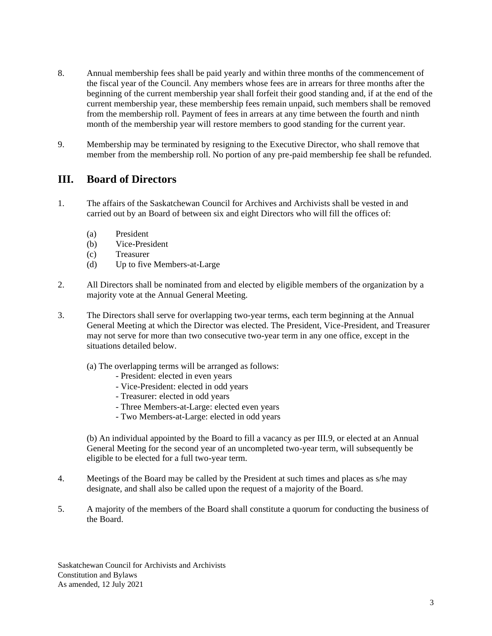- 8. Annual membership fees shall be paid yearly and within three months of the commencement of the fiscal year of the Council. Any members whose fees are in arrears for three months after the beginning of the current membership year shall forfeit their good standing and, if at the end of the current membership year, these membership fees remain unpaid, such members shall be removed from the membership roll. Payment of fees in arrears at any time between the fourth and ninth month of the membership year will restore members to good standing for the current year.
- 9. Membership may be terminated by resigning to the Executive Director, who shall remove that member from the membership roll. No portion of any pre-paid membership fee shall be refunded.

#### **III. Board of Directors**

- 1. The affairs of the Saskatchewan Council for Archives and Archivists shall be vested in and carried out by an Board of between six and eight Directors who will fill the offices of:
	- (a) President
	- (b) Vice-President
	- (c) Treasurer
	- (d) Up to five Members-at-Large
- 2. All Directors shall be nominated from and elected by eligible members of the organization by a majority vote at the Annual General Meeting.
- 3. The Directors shall serve for overlapping two-year terms, each term beginning at the Annual General Meeting at which the Director was elected. The President, Vice-President, and Treasurer may not serve for more than two consecutive two-year term in any one office, except in the situations detailed below.
	- (a) The overlapping terms will be arranged as follows:
		- President: elected in even years
		- Vice-President: elected in odd years
		- Treasurer: elected in odd years
		- Three Members-at-Large: elected even years
		- Two Members-at-Large: elected in odd years

(b) An individual appointed by the Board to fill a vacancy as per III.9, or elected at an Annual General Meeting for the second year of an uncompleted two-year term, will subsequently be eligible to be elected for a full two-year term.

- 4. Meetings of the Board may be called by the President at such times and places as s/he may designate, and shall also be called upon the request of a majority of the Board.
- 5. A majority of the members of the Board shall constitute a quorum for conducting the business of the Board.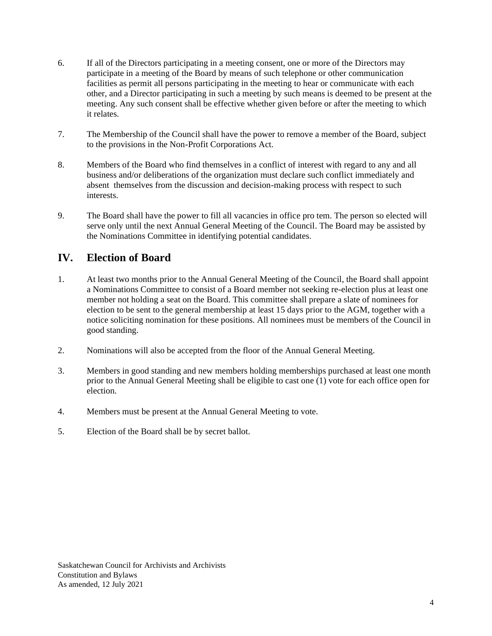- 6. If all of the Directors participating in a meeting consent, one or more of the Directors may participate in a meeting of the Board by means of such telephone or other communication facilities as permit all persons participating in the meeting to hear or communicate with each other, and a Director participating in such a meeting by such means is deemed to be present at the meeting. Any such consent shall be effective whether given before or after the meeting to which it relates.
- 7. The Membership of the Council shall have the power to remove a member of the Board, subject to the provisions in the Non-Profit Corporations Act.
- 8. Members of the Board who find themselves in a conflict of interest with regard to any and all business and/or deliberations of the organization must declare such conflict immediately and absent themselves from the discussion and decision-making process with respect to such interests.
- 9. The Board shall have the power to fill all vacancies in office pro tem. The person so elected will serve only until the next Annual General Meeting of the Council. The Board may be assisted by the Nominations Committee in identifying potential candidates.

#### **IV. Election of Board**

- 1. At least two months prior to the Annual General Meeting of the Council, the Board shall appoint a Nominations Committee to consist of a Board member not seeking re-election plus at least one member not holding a seat on the Board. This committee shall prepare a slate of nominees for election to be sent to the general membership at least 15 days prior to the AGM, together with a notice soliciting nomination for these positions. All nominees must be members of the Council in good standing.
- 2. Nominations will also be accepted from the floor of the Annual General Meeting.
- 3. Members in good standing and new members holding memberships purchased at least one month prior to the Annual General Meeting shall be eligible to cast one (1) vote for each office open for election.
- 4. Members must be present at the Annual General Meeting to vote.
- 5. Election of the Board shall be by secret ballot.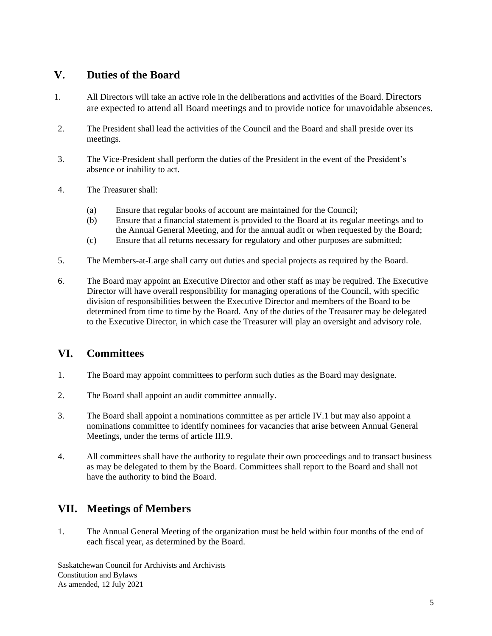#### **V. Duties of the Board**

- 1. All Directors will take an active role in the deliberations and activities of the Board. Directors are expected to attend all Board meetings and to provide notice for unavoidable absences.
- 2. The President shall lead the activities of the Council and the Board and shall preside over its meetings.
- 3. The Vice-President shall perform the duties of the President in the event of the President's absence or inability to act.
- 4. The Treasurer shall:
	- (a) Ensure that regular books of account are maintained for the Council;
	- (b) Ensure that a financial statement is provided to the Board at its regular meetings and to the Annual General Meeting, and for the annual audit or when requested by the Board;
	- (c) Ensure that all returns necessary for regulatory and other purposes are submitted;
- 5. The Members-at-Large shall carry out duties and special projects as required by the Board.
- 6. The Board may appoint an Executive Director and other staff as may be required. The Executive Director will have overall responsibility for managing operations of the Council, with specific division of responsibilities between the Executive Director and members of the Board to be determined from time to time by the Board. Any of the duties of the Treasurer may be delegated to the Executive Director, in which case the Treasurer will play an oversight and advisory role.

#### **VI. Committees**

- 1. The Board may appoint committees to perform such duties as the Board may designate.
- 2. The Board shall appoint an audit committee annually.
- 3. The Board shall appoint a nominations committee as per article IV.1 but may also appoint a nominations committee to identify nominees for vacancies that arise between Annual General Meetings, under the terms of article III.9.
- 4. All committees shall have the authority to regulate their own proceedings and to transact business as may be delegated to them by the Board. Committees shall report to the Board and shall not have the authority to bind the Board.

#### **VII. Meetings of Members**

1. The Annual General Meeting of the organization must be held within four months of the end of each fiscal year, as determined by the Board.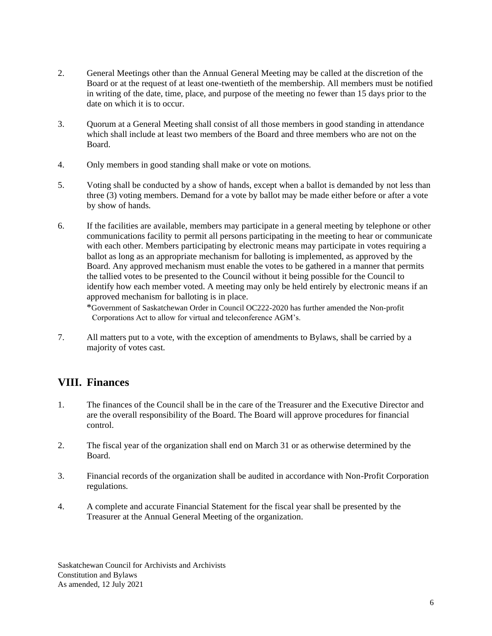- 2. General Meetings other than the Annual General Meeting may be called at the discretion of the Board or at the request of at least one-twentieth of the membership. All members must be notified in writing of the date, time, place, and purpose of the meeting no fewer than 15 days prior to the date on which it is to occur.
- 3. Quorum at a General Meeting shall consist of all those members in good standing in attendance which shall include at least two members of the Board and three members who are not on the Board.
- 4. Only members in good standing shall make or vote on motions.
- 5. Voting shall be conducted by a show of hands, except when a ballot is demanded by not less than three (3) voting members. Demand for a vote by ballot may be made either before or after a vote by show of hands.
- 6. If the facilities are available, members may participate in a general meeting by telephone or other communications facility to permit all persons participating in the meeting to hear or communicate with each other. Members participating by electronic means may participate in votes requiring a ballot as long as an appropriate mechanism for balloting is implemented, as approved by the Board. Any approved mechanism must enable the votes to be gathered in a manner that permits the tallied votes to be presented to the Council without it being possible for the Council to identify how each member voted. A meeting may only be held entirely by electronic means if an approved mechanism for balloting is in place.

 \*Government of Saskatchewan Order in Council OC222-2020 has further amended the Non-profit Corporations Act to allow for virtual and teleconference AGM's.

7. All matters put to a vote, with the exception of amendments to Bylaws, shall be carried by a majority of votes cast.

#### **VIII. Finances**

- 1. The finances of the Council shall be in the care of the Treasurer and the Executive Director and are the overall responsibility of the Board. The Board will approve procedures for financial control.
- 2. The fiscal year of the organization shall end on March 31 or as otherwise determined by the Board.
- 3. Financial records of the organization shall be audited in accordance with Non-Profit Corporation regulations.
- 4. A complete and accurate Financial Statement for the fiscal year shall be presented by the Treasurer at the Annual General Meeting of the organization.